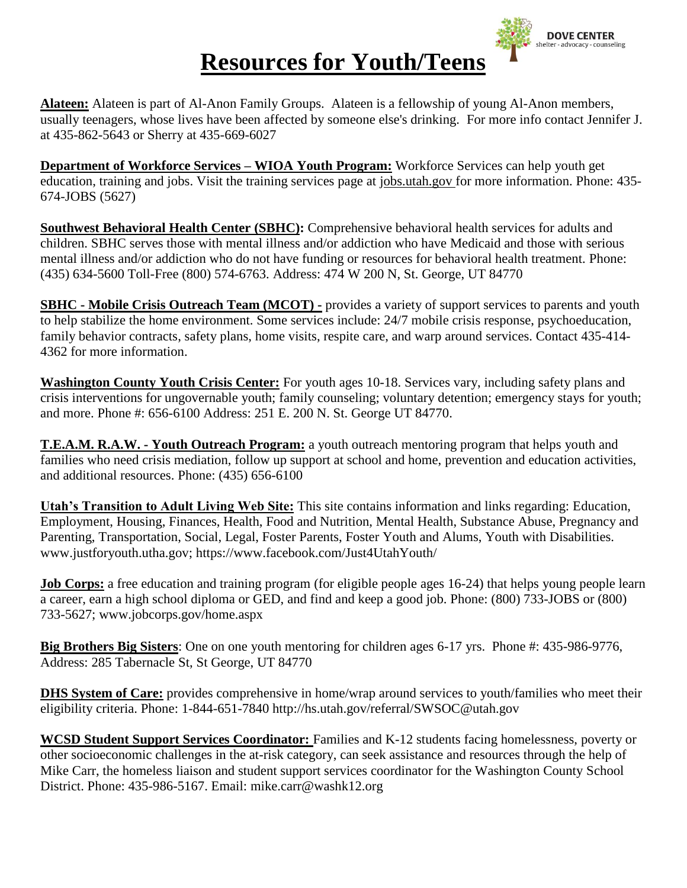

## **Resources for Youth/Teens**

**Alateen:** Alateen is part of Al-Anon Family Groups. Alateen is a fellowship of young Al-Anon members, usually teenagers, whose lives have been affected by someone else's drinking. For more info contact Jennifer J. at 435-862-5643 or Sherry at 435-669-6027

**Department of Workforce Services – WIOA Youth Program:** Workforce Services can help youth get education, training and jobs. Visit the training services page at jobs.utah.gov for more information. Phone: 435- 674-JOBS (5627)

**Southwest Behavioral Health Center (SBHC):** Comprehensive behavioral health services for adults and children. SBHC serves those with mental illness and/or addiction who have Medicaid and those with serious mental illness and/or addiction who do not have funding or resources for behavioral health treatment. Phone: (435) 634-5600 Toll-Free (800) 574-6763. Address: 474 W 200 N, St. George, UT 84770

**SBHC - Mobile Crisis Outreach Team (MCOT) -** provides a variety of support services to parents and youth to help stabilize the home environment. Some services include: 24/7 mobile crisis response, psychoeducation, family behavior contracts, safety plans, home visits, respite care, and warp around services. Contact 435-414- 4362 for more information.

**Washington County Youth Crisis Center:** For youth ages 10-18. Services vary, including safety plans and crisis interventions for ungovernable youth; family counseling; voluntary detention; emergency stays for youth; and more. Phone #: 656-6100 Address: 251 E. 200 N. St. George UT 84770.

**T.E.A.M. R.A.W. - Youth Outreach Program:** a youth outreach mentoring program that helps youth and families who need crisis mediation, follow up support at school and home, prevention and education activities, and additional resources. Phone: (435) 656-6100

**Utah's Transition to Adult Living Web Site:** This site contains information and links regarding: Education, Employment, Housing, Finances, Health, Food and Nutrition, Mental Health, Substance Abuse, Pregnancy and Parenting, Transportation, Social, Legal, Foster Parents, Foster Youth and Alums, Youth with Disabilities. www.justforyouth.utha.gov; https://www.facebook.com/Just4UtahYouth/

**Job Corps:** a free education and training program (for eligible people ages 16-24) that helps young people learn a career, earn a high school diploma or GED, and find and keep a good job. Phone: (800) 733-JOBS or (800) 733-5627; www.jobcorps.gov/home.aspx

**Big Brothers Big Sisters**: One on one youth mentoring for children ages 6-17 yrs. Phone #: 435-986-9776, Address: 285 Tabernacle St, St George, UT 84770

**DHS System of Care:** provides comprehensive in home/wrap around services to youth/families who meet their eligibility criteria. Phone: 1-844-651-7840 http://hs.utah.gov/referral/SWSOC@utah.gov

**WCSD Student Support Services Coordinator:** Families and K-12 students facing homelessness, poverty or other socioeconomic challenges in the at-risk category, can seek assistance and resources through the help of Mike Carr, the homeless liaison and student support services coordinator for the Washington County School District. Phone: 435-986-5167. Email: mike.carr@washk12.org